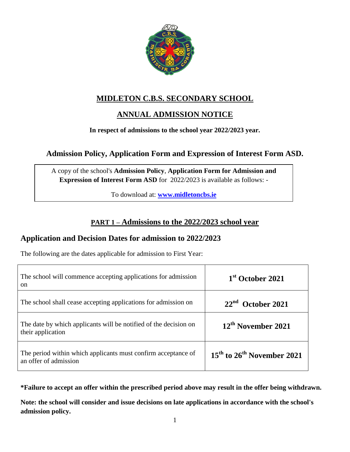

# **MIDLETON C.B.S. SECONDARY SCHOOL**

# **ANNUAL ADMISSION NOTICE**

#### **In respect of admissions to the school year 2022/2023 year.**

## **Admission Policy, Application Form and Expression of Interest Form ASD.**

A copy of the school's **Admission Policy**, **Application Form for Admission and Expression of Interest Form ASD** for 2022/2023 is available as follows: -

To download at: **[www.midletoncbs.ie](http://www.midletoncbs.ie/)**

## **PART 1 – Admissions to the 2022/2023 school year**

#### **Application and Decision Dates for admission to 2022/2023**

The following are the dates applicable for admission to First Year:

| The school will commence accepting applications for admission<br><sub>on</sub>         | 1 <sup>st</sup> October 2021                       |
|----------------------------------------------------------------------------------------|----------------------------------------------------|
| The school shall cease accepting applications for admission on                         | $22nd$ October 2021                                |
| The date by which applicants will be notified of the decision on<br>their application  | 12 <sup>th</sup> November 2021                     |
| The period within which applicants must confirm acceptance of<br>an offer of admission | 15 <sup>th</sup> to 26 <sup>th</sup> November 2021 |

**\*Failure to accept an offer within the prescribed period above may result in the offer being withdrawn.**

**Note: the school will consider and issue decisions on late applications in accordance with the school's admission policy.**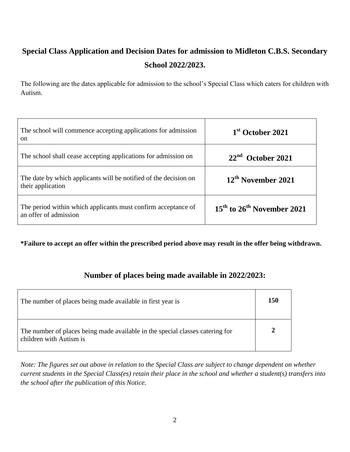# **Special Class Application and Decision Dates for admission to Midleton C.B.S. Secondary School 2022/2023.**

The following are the dates applicable for admission to the school's Special Class which caters for children with Autism.

| The school will commence accepting applications for admission<br><sub>on</sub>         | 1 <sup>st</sup> October 2021   |
|----------------------------------------------------------------------------------------|--------------------------------|
| The school shall cease accepting applications for admission on                         | $22nd$ October 2021            |
| The date by which applicants will be notified of the decision on<br>their application  | 12 <sup>th</sup> November 2021 |
| The period within which applicants must confirm acceptance of<br>an offer of admission | $15th$ to $26th$ November 2021 |

**\*Failure to accept an offer within the prescribed period above may result in the offer being withdrawn.**

## **Number of places being made available in 2022/2023:**

| The number of places being made available in first year is                                               | 150          |
|----------------------------------------------------------------------------------------------------------|--------------|
| The number of places being made available in the special classes catering for<br>children with Autism is | $\mathbf{2}$ |

*Note: The figures set out above in relation to the Special Class are subject to change dependent on whether current students in the Special Class(es) retain their place in the school and whether a student(s) transfers into the school after the publication of this Notice.*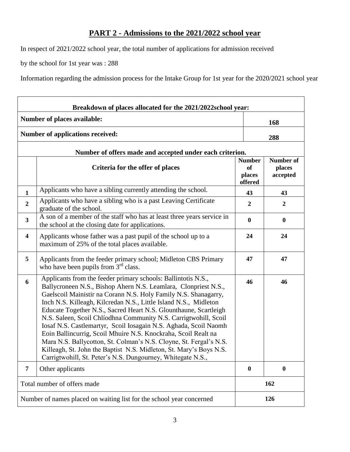## **PART 2 - Admissions to the 2021/2022 school year**

In respect of 2021/2022 school year, the total number of applications for admission received

by the school for 1st year was : 288

Information regarding the admission process for the Intake Group for 1st year for the 2020/2021 school year

| Breakdown of places allocated for the 2021/2022school year: |                                                                                                                                                                                                                                                                                                                                                                                                                                                                                                                                                                                                                                                                                                                                                                  |                                                 |                                        |  |  |
|-------------------------------------------------------------|------------------------------------------------------------------------------------------------------------------------------------------------------------------------------------------------------------------------------------------------------------------------------------------------------------------------------------------------------------------------------------------------------------------------------------------------------------------------------------------------------------------------------------------------------------------------------------------------------------------------------------------------------------------------------------------------------------------------------------------------------------------|-------------------------------------------------|----------------------------------------|--|--|
|                                                             | Number of places available:                                                                                                                                                                                                                                                                                                                                                                                                                                                                                                                                                                                                                                                                                                                                      |                                                 | 168                                    |  |  |
| <b>Number of applications received:</b>                     |                                                                                                                                                                                                                                                                                                                                                                                                                                                                                                                                                                                                                                                                                                                                                                  |                                                 | 288                                    |  |  |
|                                                             | Number of offers made and accepted under each criterion.                                                                                                                                                                                                                                                                                                                                                                                                                                                                                                                                                                                                                                                                                                         |                                                 |                                        |  |  |
|                                                             | Criteria for the offer of places                                                                                                                                                                                                                                                                                                                                                                                                                                                                                                                                                                                                                                                                                                                                 | <b>Number</b><br><b>of</b><br>places<br>offered | <b>Number of</b><br>places<br>accepted |  |  |
| 1                                                           | Applicants who have a sibling currently attending the school.                                                                                                                                                                                                                                                                                                                                                                                                                                                                                                                                                                                                                                                                                                    | 43                                              | 43                                     |  |  |
| $\overline{2}$                                              | Applicants who have a sibling who is a past Leaving Certificate<br>graduate of the school.                                                                                                                                                                                                                                                                                                                                                                                                                                                                                                                                                                                                                                                                       | $\overline{2}$                                  | $\boldsymbol{2}$                       |  |  |
| $\mathbf{3}$                                                | A son of a member of the staff who has at least three years service in<br>the school at the closing date for applications.                                                                                                                                                                                                                                                                                                                                                                                                                                                                                                                                                                                                                                       | $\boldsymbol{0}$                                | $\bf{0}$                               |  |  |
| 4                                                           | Applicants whose father was a past pupil of the school up to a<br>maximum of 25% of the total places available.                                                                                                                                                                                                                                                                                                                                                                                                                                                                                                                                                                                                                                                  | 24                                              | 24                                     |  |  |
| 5                                                           | Applicants from the feeder primary school; Midleton CBS Primary<br>who have been pupils from 3 <sup>rd</sup> class.                                                                                                                                                                                                                                                                                                                                                                                                                                                                                                                                                                                                                                              | 47                                              | 47                                     |  |  |
| 6                                                           | Applicants from the feeder primary schools: Ballintotis N.S.,<br>Ballycroneen N.S., Bishop Ahern N.S. Leamlara, Clonpriest N.S.,<br>Gaelscoil Mainistir na Corann N.S. Holy Family N.S. Shanagarry,<br>Inch N.S. Killeagh, Kilcredan N.S., Little Island N.S., Midleton<br>Educate Together N.S., Sacred Heart N.S. Glounthaune, Scartleigh<br>N.S. Saleen, Scoil Chlíodhna Community N.S. Carrigtwohill, Scoil<br>Iosaf N.S. Castlemartyr, Scoil Iosagain N.S. Aghada, Scoil Naomh<br>Eoin Ballincurrig, Scoil Mhuire N.S. Knockraha, Scoil Realt na<br>Mara N.S. Ballycotton, St. Colman's N.S. Cloyne, St. Fergal's N.S.<br>Killeagh, St. John the Baptist N.S. Midleton, St. Mary's Boys N.S.<br>Carrigtwohill, St. Peter's N.S. Dungourney, Whitegate N.S., | 46                                              | 46                                     |  |  |
| 7                                                           | Other applicants                                                                                                                                                                                                                                                                                                                                                                                                                                                                                                                                                                                                                                                                                                                                                 | $\boldsymbol{0}$                                | $\boldsymbol{0}$                       |  |  |
|                                                             | Total number of offers made                                                                                                                                                                                                                                                                                                                                                                                                                                                                                                                                                                                                                                                                                                                                      |                                                 | 162                                    |  |  |
|                                                             | Number of names placed on waiting list for the school year concerned                                                                                                                                                                                                                                                                                                                                                                                                                                                                                                                                                                                                                                                                                             |                                                 | 126                                    |  |  |